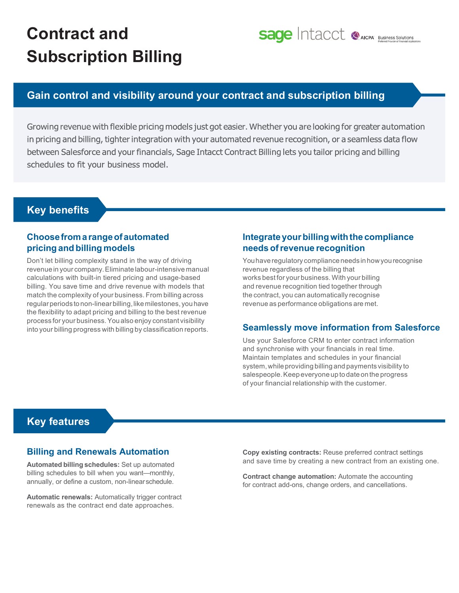# **Contract and Subscription Billing**

## **Sage Intacct @AICPA' Business Solutions**

## **Gain control and visibility around your contract and subscription billing**

Growing revenue with flexible pricing models just got easier. Whether you are looking for greater automation in pricing and billing, tighter integration with your automated revenue recognition, or a seamless data flow between Salesforce and your financials, Sage Intacct Contract Billing lets you tailor pricing and billing schedules to fit your business model.

## **Key benefits**

## **Choosefromarangeofautomated pricing and billing models**

Don't let billing complexity stand in the way of driving revenue in your company.Eliminate labour-intensive manual calculations with built-in tiered pricing and usage-based billing. You save time and drive revenue with models that match the complexity of your business. From billing across regular periods to non-linear billing, like milestones, you have the flexibility to adapt pricing and billing to the best revenue process for your business.Youalso enjoy constant visibility into your billing progress with billing by classification reports.

## **Integrateyourbillingwiththe compliance needs ofrevenue recognition**

You have regulatory compliance needs in how you recognise revenue regardless of the billing that works best for your business. With your billing and revenue recognition tied together through the contract, you can automatically recognise revenue as performance obligations are met.

### **Seamlessly move information from Salesforce**

Use your Salesforce CRM to enter contract information and synchronise with your financials in real time. Maintain templates and schedules in your financial system,while providing billing and payments visibility to salespeople.Keep everyone up to date on the progress of your financial relationship with the customer.

## **Key features**

#### **Billing and Renewals Automation**

**Automated billing schedules:** Set up automated billing schedules to bill when you want—monthly, annually, or define a custom, non-linearschedule.

**Automatic renewals:** Automatically trigger contract renewals as the contract end date approaches.

**Copy existing contracts:** Reuse preferred contract settings and save time by creating a new contract from an existing one.

**Contract change automation:** Automate the accounting for contract add-ons, change orders, and cancellations.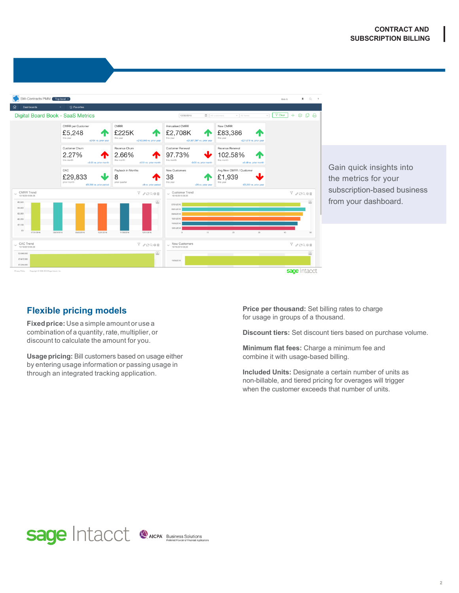

## **Flexible pricing models**

**Fixedprice:** Use a simple amount or use a combination of a quantity, rate, multiplier, or discount to calculate the amount for you.

**Usage pricing:** Bill customers based on usage either by entering usage information or passing usage in through an integrated tracking application.

**Price per thousand:** Set billing rates to charge for usage in groups of a thousand.

**Discount tiers:** Set discount tiers based on purchase volume.

**Minimum flat fees:** Charge a minimum fee and combine it with usage-based billing.

**Included Units:** Designate a certain number of units as non-billable, and tiered pricing for overages will trigger when the customer exceeds that number of units.